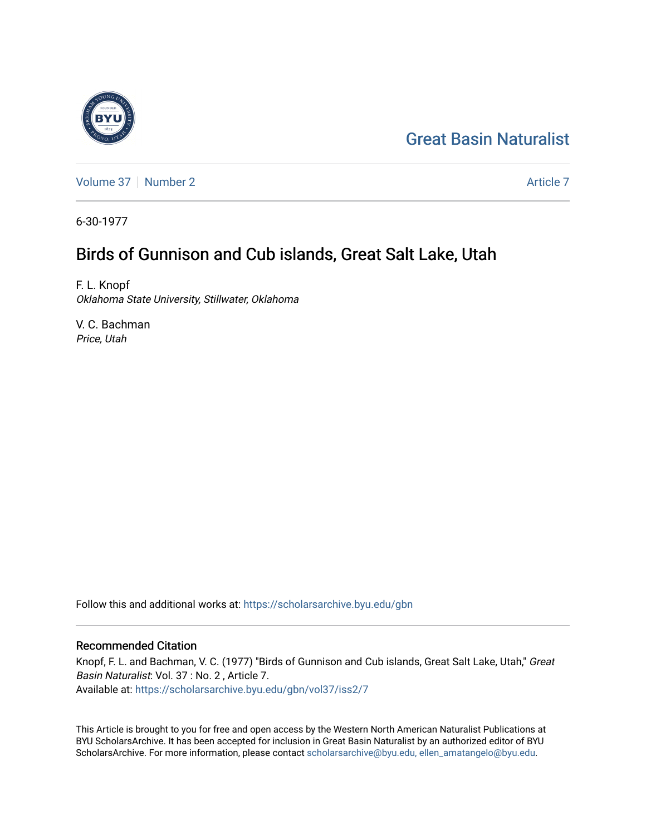# [Great Basin Naturalist](https://scholarsarchive.byu.edu/gbn)

[Volume 37](https://scholarsarchive.byu.edu/gbn/vol37) | [Number 2](https://scholarsarchive.byu.edu/gbn/vol37/iss2) [Article 7](https://scholarsarchive.byu.edu/gbn/vol37/iss2/7) Article 7 Article 7

6-30-1977

# Birds of Gunnison and Cub islands, Great Salt Lake, Utah

F. L. Knopf Oklahoma State University, Stillwater, Oklahoma

V. C. Bachman Price, Utah

Follow this and additional works at: [https://scholarsarchive.byu.edu/gbn](https://scholarsarchive.byu.edu/gbn?utm_source=scholarsarchive.byu.edu%2Fgbn%2Fvol37%2Fiss2%2F7&utm_medium=PDF&utm_campaign=PDFCoverPages) 

# Recommended Citation

Knopf, F. L. and Bachman, V. C. (1977) "Birds of Gunnison and Cub islands, Great Salt Lake, Utah," Great Basin Naturalist: Vol. 37 : No. 2 , Article 7. Available at: [https://scholarsarchive.byu.edu/gbn/vol37/iss2/7](https://scholarsarchive.byu.edu/gbn/vol37/iss2/7?utm_source=scholarsarchive.byu.edu%2Fgbn%2Fvol37%2Fiss2%2F7&utm_medium=PDF&utm_campaign=PDFCoverPages)

This Article is brought to you for free and open access by the Western North American Naturalist Publications at BYU ScholarsArchive. It has been accepted for inclusion in Great Basin Naturalist by an authorized editor of BYU ScholarsArchive. For more information, please contact [scholarsarchive@byu.edu, ellen\\_amatangelo@byu.edu.](mailto:scholarsarchive@byu.edu,%20ellen_amatangelo@byu.edu)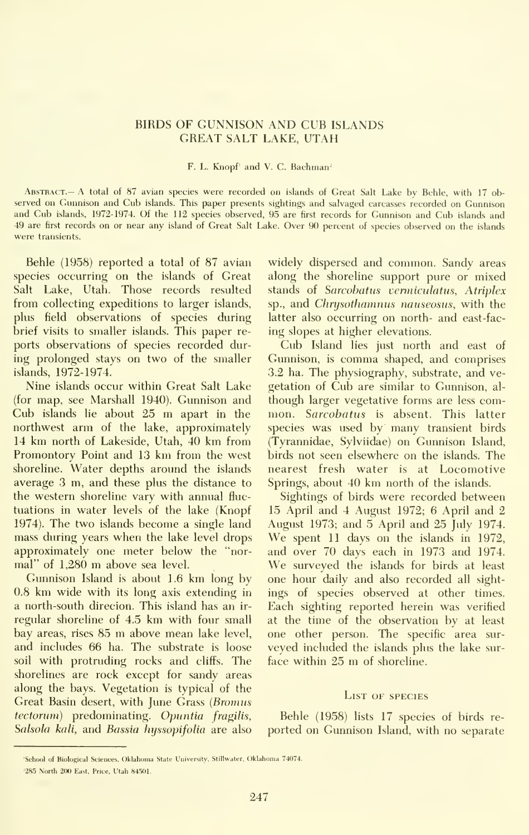## BIRDS OF GUNNISON AND CUB ISLANDS GREAT SALT LAKE, UTAH

### F. L. Knopf<sup>1</sup> and V. C. Bachman<sup>2</sup>

Abstract.— a total of 87 avian species were recorded on islands of Great Salt Lake by Behle, with <sup>17</sup> ob served on Gunnison and Cub islands. This paper presents sightings and salvaged carcasses recorded on Gunnison and Cub islands, 1972-1974. Of the <sup>112</sup> species observed, 95 are first records for Gunnison and Cub islands and 49 are first records on or near any island of Great Salt Lake. Over 90 percent of species observed on the islands were transients.

Behle (1958) reported a total of 87 avian species occurring on the islands of Great Salt Lake, Utah. Those records resulted from collecting expeditions to larger islands, plus field observations of species during brief visits to smaller islands. This paper re ports observations of species recorded during prolonged stays on two of the smaller islands, 1972-1974.

Nine islands occur within Great Salt Lake (for map, see Marshall 1940). Gunnison and Cub islands lie about <sup>25</sup> m apart in the northwest arm of the lake, approximately <sup>14</sup> km north of Lakeside, Utah, 40 km from Promontory Point and 13 km from the west shoreline. Water depths around the islands average 3 m, and these plus the distance to the western shoreline vary with annual fluc tuations in water levels of the lake (Knopf 1974). The two islands become a single land August 1973; and 5 April and 25 July 1974. mass during years when the lake level drops approximately one meter below the "nor- and over 70 days each in 1973 and 1974. mal" of 1,280 m above sea level.

Gunnison Island is about 1.6 km long by 0.8 km wide with its long axis extending in a north-south direcion. This island has an ir regular shoreline of 4.5 km with four small bay areas, rises <sup>85</sup> m above mean lake level, and includes 66 ha. The substrate is loose soil with protruding rocks and cliffs. The shorelines are rock except for sandy areas along the bays. Vegetation is typical of the Great Basin desert, with June Grass (Bromus tectorum) predominating. Opuntia fragilis, Salsola kali, and Bassia hyssopifolia are also widely dispersed and common. Sandy areas along the shoreline support pure or mixed stands of Sarcobatus vermiculatus, Atriplex sp., and Chrysothamnus nauseosus, with the latter also occurring on north- and east-fac ing slopes at higher elevations.

Cub Island lies just north and east of Gunnison, iscomma shaped, and comprises 3.2 ha. The physiography, substrate, and ve getation of Cub are similar to Gunnison, al though larger vegetative forms are less com mon. Sarcobatus is absent. This latter species was used by many transient birds (Tyrannidae, Sylviidae) on Gunnison Island, birds not seen elsewhere on the islands. The nearest fresh water is at Locomotive Springs, about 40 km north of the islands.

Sightings of birds were recorded between 15 April and 4 August 1972; 6 April and 2 We spent 11 days on the islands in 1972, We surveyed the islands for birds at least one hour daily and also recorded all sight ings of species observed at other times. Each sighting reported herein was verified at the time of the observation by at least one other person. The specific area sur veyed included the islands plus the lake sur face within <sup>25</sup> m of shoreline.

#### List of species

Behle (1958) lists 17 species of birds re ported on Gunnison Island, with no separate

<sup>&#</sup>x27;School of Biological Sciences, Oklahoma State University, Stillwater, Oklahoma 74074. <sup>2</sup>285 North 200 East, Price, Utah 84501.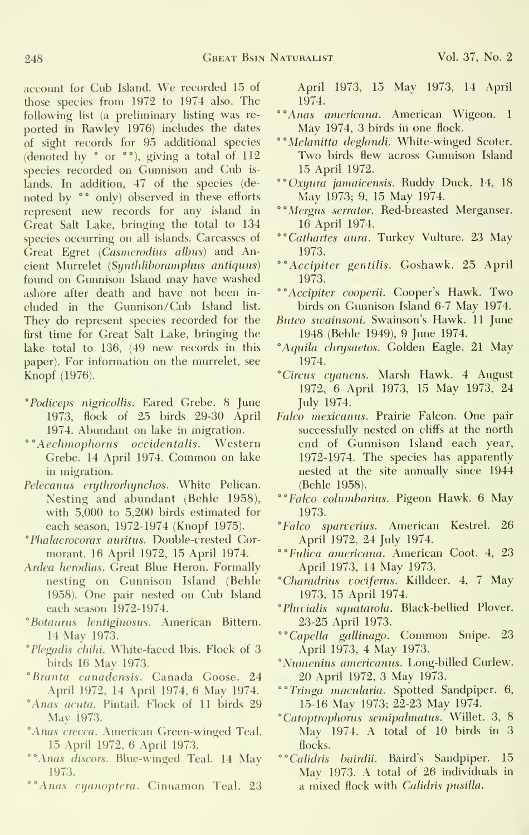account for Cub Island. We recorded <sup>15</sup> of those species from 1972 to 1974 also. The following list (a preliminary listing was re ported in Rawley 1976) includes the dates of sight records for 95 additional species (denoted by " or °°), giving a total of 112 species recorded on Gunnison and Cub is lands. In addition, 47 of the species (de noted by  $\degree$  only) observed in these efforts represent new records for any island in Great Salt Lake, bringing the total to 134 species occurring on all islands. Carcasses of Great Egret (Casmerodius albus) and Ancient Murrelet (Synthliboramphus antiquus) found on Gunnison Island may have washed ashore after death and have not been in cluded in the Gunnison /Cub Island list. They do represent species recorded for the first time for Great Salt Lake, bringing the lake total to 136, (49 new records in this paper). For information on the murrelet, see Knopf (1976).

- °Podiceps nigricoUis. Eared Grebe. 8 June 1973, flock of 25 birds 29-30 April 1974. Abundant on lake in migration.
- ° ° Aechmophorus occidentalis. Western Grebe. <sup>14</sup> April 1974. Common on lake in migration.
- Pelecanus erythrorhynchos. White Pelican. Nesting and abundant (Behle 1958), with 5,000 to 5,200 birds estimated for each season, 1972-1974 (Knopf 1975).
- " Phalacrocorax auritus. Double-crested Cormorant. 16 April 1972, 15 April 1974.
- Ardea herodias. Great Blue Heron. Formally nesting on Gunnison Island (Behle 1958). One pair nested on Cub Island each season 1972-1974.
- 'Botaurus lentiginosus. American Bittern. 14 May 1973.
- "Plegadis cliihi. White-faced Ibis. Flock of 3 birds 16 May 1973.
- °Branta canadensis. Canada Goose. 24 April 1972, 14 April 1974, 6 May 1974.
- "Anas acuta. Pintail. Flock of 11 birds 29 May 1973.
- "Anas crecca. American Green-winged Teal. 15 April 1972, 6 April 1973.
- <sup>o</sup> Anas discors. Blue-winged Teal. 14 May 1973.
- <sup>o</sup>"Anas cyanoptera. Cinnamon Teal. 23

April 1973, 15 May 1973, 14 April 1974.

- ""Anas americana. American Wigeon. <sup>1</sup> May 1974, 3 birds in one flock.
- **\*\*** Melanitta deglandi. White-winged Scoter. Two birds flew across Gunnison Island 15 April 1972.
- ""Oxyiira jamaicensis. Ruddy Duck. 14, 18 May 1973; 9, 15 May 1974.
- **"Mergus serrator. Red-breasted Merganser.** 16 April 1974.
- ""Cathartes aura. Turkey Vulture. 23 May 1973.
- ""Accipiter gentilis. Goshawk. 25 April 1973.
- ""Accipiter cooperii. Cooper's Hawk. Two birds on Gunnison Island 6-7 May 1974.
- Buteo swainsoni. Swainson's Hawk. 11 June 1948 (Behle 1949), 9 June 1974.
- "Aquila chrysaetos. Golden Eagle. 21 May 1974.
- "Circus cyaneus. Marsh Hawk. 4 August 1972, 6 April 1973, 15 May 1973, 24 July 1974.
- Falco mexicanus. Prairie Falcon. One pair successfully nested on cliffs at the north end of Gunnison Island each year, 1972-1974. The species has apparently nested at the site annually since 1944 (Behle 1958).
- ""Falco columharius. Pigeon Hawk. 6 May 1973.
- "Falco sparverius. American Kestrel. 26 April 1972, 24 July 1974.
- ""Fulica americana. American Coot. 4, 23 April 1973, 14 May 1973.
- "Charadrius vociferus. Killdeer. 4, <sup>7</sup> May 1973, 15 April 1974.
- "Pluvialis squatarola. Black-bellied Plover. 23-25 April 1973.
- ""Capella gallinago. Common Snipe. 23 April 1973, 4 May 1973.
- "Numenius americanus. Long-billed Curlew. 20 April 1972, 3 May 1973.
- ""Tringa macularia. Spotted Sandpiper. 6, 15-16 May 1973; 22-23 May 1974.
- "Catoptrophorus semipalmatus. Willet. 3, 8 May 1974. A total of 10 birds in 3 flocks.
- ""Calidris hairdii. Baird's Sandpiper. 15 May 1973. A total of 26 individuals in a mixed flock with Calidris pusilla.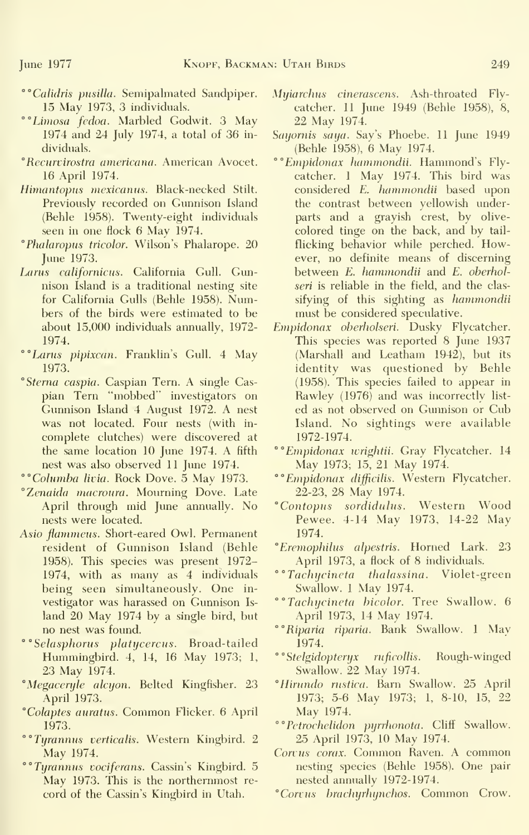- ""Calidris pusiUa. Semipalmated Sandpiper. 15 May 1973, 3 individuals.
- °°Lwiosa fedoa. Marbled Godwit. 3 May 1974 and 24 July 1974, a total of 36 in dividuals.
- *"Recurvirostra americana*. American Avocet. 16 April 1974.
- Himantopus mexicanus. Black-necked Stilt. Previously recorded on Gunnison Island (Behle 1958). Twenty-eight individuals seen in one flock 6 May 1974.
- ° Phalaropus tricolor. Wilson's Phalarope. 20 June 1973.
- Lams californicus. California Gull. Gunnison Island is a traditional nesting site for California Gulls (Behle 1958). Numbers of the birds were estimated to be about 15,000 individuals annually, 1972- 1974.
- °°Larus pipixcan. Franklin's Gull. 4 May 1973.
- 'Sterna caspia. Caspian Tern. A single Cas pian Tern "mobbed" investigators on Gunnison Island 4 August 1972. A nest was not located. Four nests (with in complete clutches) were discovered at the same location 10 June 1974. A fifth nest was also observed 11 June 1974.
- ""Columba livia. Rock Dove. 5 May 1973.
- "Zenaida macroura. Mourning Dove. Late April through mid June annually. No nests were located.
- Asio flammeus. Short-eared Owl. Permanent resident of Gunnison Island (Behle 1958). This species was present 1972- 1974, with as many as 4 individuals being seen simultaneously. One in vestigator was harassed on Gunnison Is land 20 May 1974 by a single bird, but no nest was found.
- ° °Selasphorus platycercus. Broad-tailed Hummingbird. 4, 14, 16 May 1973; 1, 23 May 1974.
- "Megaceryle alcyon. Belted Kingfisher. 23 April 1973.
- 'Colaptes auratus. Common Flicker. <sup>6</sup> April 1973.
- **\*\* Tyrannus verticalis. Western Kingbird. 2** May 1974.
- **\*\* Tyrannus** vociferans. Cassin's Kingbird. 5 May 1973. This is the northernmost record of the Cassin's Kingbird in Utah.
- Myiarchus cinerascens. Ash-throated Fly catcher. 11 June 1949 (Behle 1958), 8, 22 May 1974.
- Sayornis saya. Say's Phoebe. 11 June 1949 (Behle 1958), 6 May 1974.
- " ° Empidonax hanimondii. Hammond's Flycatcher. <sup>1</sup> May 1974. This bird was considered E. hammondii based upon the contrast between yellowish underparts and a grayish crest, by olive colored tinge on the back, and by tail flicking behavior while perched. However, no definite means of discerning between E. hammondii and E. oherholseri is reliable in the field, and the clas sifying of this sighting as hammondii must be considered speculative.
- Empidonax oberholseri. Dusky Flycatcher. This species was reported 8 June 1937 (Marshall and Leatham 1942), but its identity was questioned by Behle (1958). This species failed to appear in Rawley (1976) and was incorrectly list ed as not observed on Gunnison or Cub Island. No sightings were available 1972-1974.
- \*\* Empidonax wrightii. Gray Flycatcher. 14 May 1973; 15^ 21 May 1974.
- °° Empidonax difficilis. Western Flycatcher. 22-23, 28 May 1974.
- "Contopus sordidulus. Western Wood Pewee. 4-14 May 1973, 14-22 May 1974.
- " Eremophihis alpestris. Horned Lark. 23 April 1973, a flock of 8 individuals.
- ""Tachycineta thalassina. Violet-green Swallow. <sup>1</sup> May 1974.
- ""Tachycineta hicolor. Tree Swallow. 6 April 1973, 14 May 1974.
- °°Riparia riparia. Bank Swallow. <sup>1</sup> May 1974.
- ° S*telgidopteryx ruficollis.* Rough-winged Swallow. 22 May 1974.
- "Hinindo nistica. Barn Swallow. 25 April 1973; 5-6 May 1973; 1, 8-10, 15, 22 May 1974.
- $\degree$  P*etrochelidon pyrrhonota*. Cliff Swallow. 25 April 1973, 10 May 1974.
- Corvus corax. Common Raven. A common nesting species (Behle 1958). One pair nested annually 1972-1974.
- "Corvus hrachyrhynchos. Common Crow.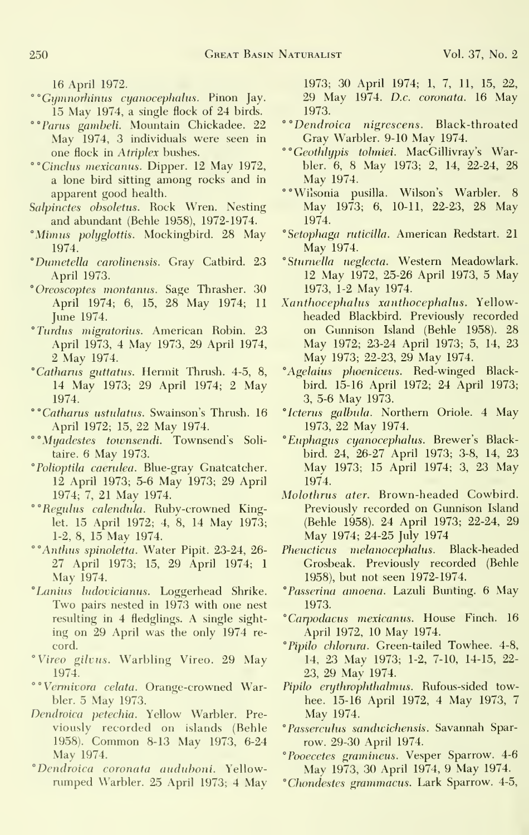16 April 1972.

- ''°Giimnor}iinus cyanocephalus. Pinon Jay. 15 May 1974, <sup>a</sup> single flock of 24 birds.
- ""Parus gambeli. Mountain Chickadee. 22 May 1974, 3 individuals were seen in one flock in Atriplex bushes.
- °''Cinchis mexicanus. Dipper. 12 May 1972, a lone bird sitting among rocks and in apparent good health.
- Salpinctes obsoletus. Rock Wren. Nesting and abundant (Behle 1958), 1972-1974.
- "Mimus polyglottis. Mockingbird. 28 May 1974.
- °Du7netella carolinensis. Gray Catbird. 23 April 1973.
- "Oreoscoptes montanus. Sage Thrasher. 30 April 1974; 6, 15, 28 May 1974; <sup>11</sup> June 1974.
- "Tardus migratorius. American Robin. 23 April 1973, 4 May 1973, 29 April 1974, 2 May 1974.
- "Cathanis guttatus. Hermit Thrush. 4-5, 8, 14 May 1973; 29 April 1974; 2 May 1974.
- ""Catharus ustulatus. Swainson's Thrush. 16 April 1972; 15, 22 May 1974.
- ""Myadestes townsendi. Townsend's Solitaire. 6 May 1973.
- "Polioptila caerulea. Blue-gray Gnatcatcher. 12 April 1973; 5-6 May 1973; 29 April 1974; 7, 21 May 1974.
- °°Reguhis calendula. Ruby-crowned Kinglet. 15 April 1972; 4, 8, 14 May 1973; 1-2, 8, 15 May 1974.
- <sup>o</sup> Anthus spinoletta. Water Pipit. 23-24, 26-27 April 1973; 15, 29 April 1974; <sup>1</sup> May 1974.
- "Lanius ludovicianus. Loggerhead Shrike. Two pairs nested in 1973 with one nest resulting in 4 fledglings. A single sight ing on 29 April was the only 1974 re cord.
- "Vireo gilvus. Warbling Vireo. 29 May 1974.
- ""Vennivora celata. Orange-crowned Warbler. 5 May 1973.
- Dendroica petechia. Yellow Warbler. Pre viously recorded on islands (Behle 1958). Common 8-13 Mav 1973, 6-24 May 1974.
- "Dendroica coronata auduhoni. Yellow rumped Warbler. 25 April 1973; 4 May

1973; 30 April 1974; 1, 7, 11, 15, 22, 29 May 1974. D.c. coronata. 16 May 1973.

- ""Dendroica nigrescens. Black-throated Gray Warbler. 9-10 May 1974.
- ""Geothlypis tohniei. MacGillivray's Warbler. 6, 8 May 1973; 2, 14, 22-24, 28 May 1974.
- ""Wiisonia pusilla. Wilson's Warbler. 8 May 1973; 6, 10-11, 22-23, 28 May 1974.
- "Setophaga ruticilla. American Redstart. 21 May 1974.
- "Sturnella neglecta. Western Meadowlark. 12 May 1972, 25-26 April 1973, 5 May 1973, 1-2 May 1974.
- Xanthocephalus xanthocephalus. Yellow headed Blackbird. Previously recorded on Gunnison Island (Behle 1958). 28 May 1972; 23-24 April 1973; 5, 14, 23 May 1973; 22-23, 29 May 1974.
- "Agelaius phoeniceus. Red-winged Blackbird. 15-16 April 1972; 24 April 1973; 3, 5-6 May 1973.
- "Icterus galhula. Northern Oriole. 4 May 1973, 22 May 1974.
- "Euphagus cyanocephalus. Brewer's Blackbird. 24, 26-27 April 1973; 3-8, 14, 23 May 1973; <sup>15</sup> April 1974; 3, 23 May 1974.
- Molothrus ater. Brown-headed Cowbird. Previously recorded on Gunnison Island (Behle 1958). 24 April 1973; 22-24, 29 May 1974; 24-25 July 1974
- Pheucticus melanocephalus. Black-headed Grosbeak. Previously recorded (Behle 1958), but not seen 1972-1974.
- "Passerina amoena. Lazuli Bunting. 6 May 1973.
- "Carpodacus mexicanus. House Finch. 16 April 1972, 10 May 1974.
- "Pipilo chlorura. Green-tailed Towhee. 4-8, 14, 23 May 1973; 1-2, 7-10, 14-15, 22- 23, 29 May 1974.
- Pipilo erythrophthalmus. Rufous-sided towhee. 15-16 April 1972, 4 May 1973, 7 May 1974.
- "Passerculus sandivichensis. Savannah Spar row. 29-30 April 1974.
- "Pooecetes gramineus. Vesper Sparrow. 4-6 May 1973, 30 April 1974, <sup>9</sup> May 1974.
- "Chondestes grammacus. Lark Sparrow. 4-5,